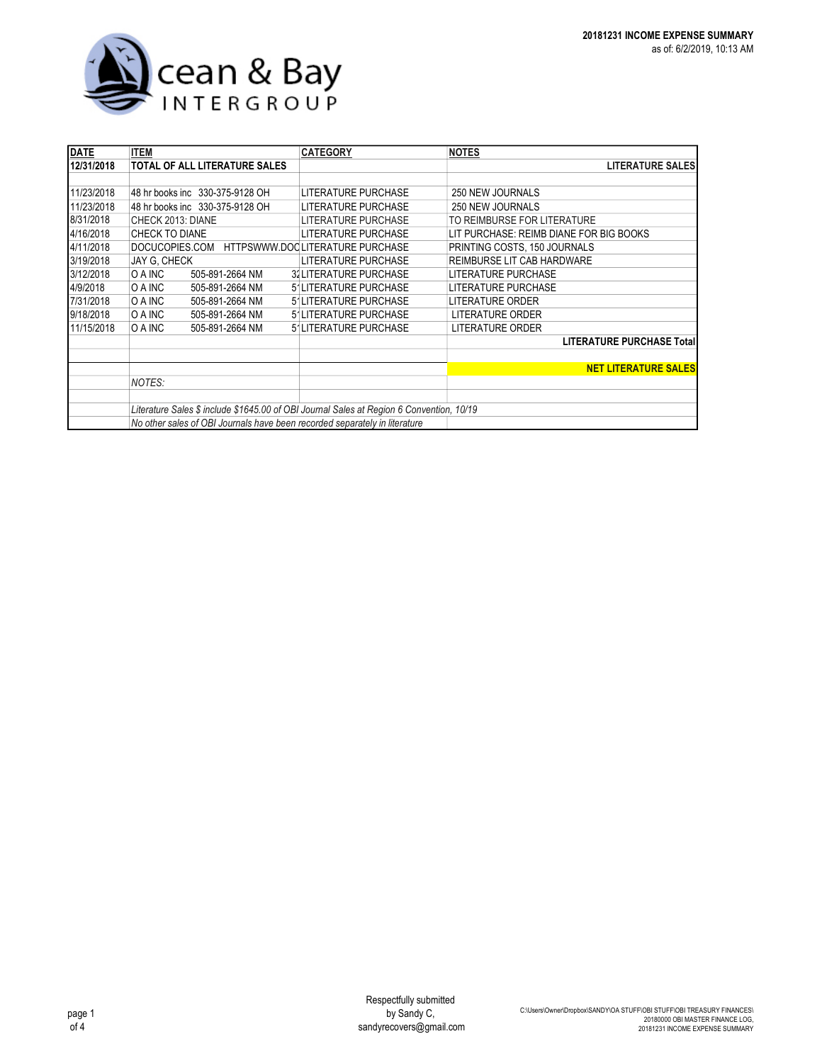

| <b>DATE</b> | <b>ITEM</b>                                                                              | <b>CATEGORY</b>                    | <b>NOTES</b>                            |
|-------------|------------------------------------------------------------------------------------------|------------------------------------|-----------------------------------------|
| 12/31/2018  | <b>TOTAL OF ALL LITERATURE SALES</b>                                                     |                                    | <b>LITERATURE SALES</b>                 |
|             |                                                                                          |                                    |                                         |
| 11/23/2018  | 48 hr books inc 330-375-9128 OH                                                          | LITERATURE PURCHASE                | 250 NEW JOURNALS                        |
| 11/23/2018  | 48 hr books inc 330-375-9128 OH                                                          | LITERATURE PURCHASE                | 250 NEW JOURNALS                        |
| 8/31/2018   | CHECK 2013: DIANE                                                                        | LITERATURE PURCHASE                | TO REIMBURSE FOR LITERATURE             |
| 4/16/2018   | <b>CHECK TO DIANE</b>                                                                    | <b>LITERATURE PURCHASE</b>         | LIT PURCHASE: REIMB DIANE FOR BIG BOOKS |
| 4/11/2018   | DOCUCOPIES.COM HTTPSWWW.DOCLITERATURE PURCHASE                                           |                                    | PRINTING COSTS, 150 JOURNALS            |
| 3/19/2018   | JAY G, CHECK                                                                             | LITERATURE PURCHASE                | REIMBURSE LIT CAB HARDWARE              |
| 3/12/2018   | O A INC<br>505-891-2664 NM                                                               | <b>32LITERATURE PURCHASE</b>       | LITERATURE PURCHASE                     |
| 4/9/2018    | O A INC<br>505-891-2664 NM                                                               | 5'LITERATURE PURCHASE              | LITERATURE PURCHASE                     |
| 7/31/2018   | O A INC<br>505-891-2664 NM                                                               | 5'LITERATURE PURCHASE              | LITERATURE ORDER                        |
| 9/18/2018   | O A INC<br>505-891-2664 NM                                                               | 5 <sup>1</sup> LITERATURE PURCHASE | LITERATURE ORDER                        |
| 11/15/2018  | O A INC<br>505-891-2664 NM                                                               | 5'LITERATURE PURCHASE              | <b>LITERATURE ORDER</b>                 |
|             |                                                                                          |                                    | <b>LITERATURE PURCHASE Total</b>        |
|             |                                                                                          |                                    |                                         |
|             |                                                                                          |                                    | <b>NET LITERATURE SALES</b>             |
|             | NOTES:                                                                                   |                                    |                                         |
|             |                                                                                          |                                    |                                         |
|             | Literature Sales \$ include \$1645.00 of OBI Journal Sales at Region 6 Convention, 10/19 |                                    |                                         |
|             | No other sales of OBI Journals have been recorded separately in literature               |                                    |                                         |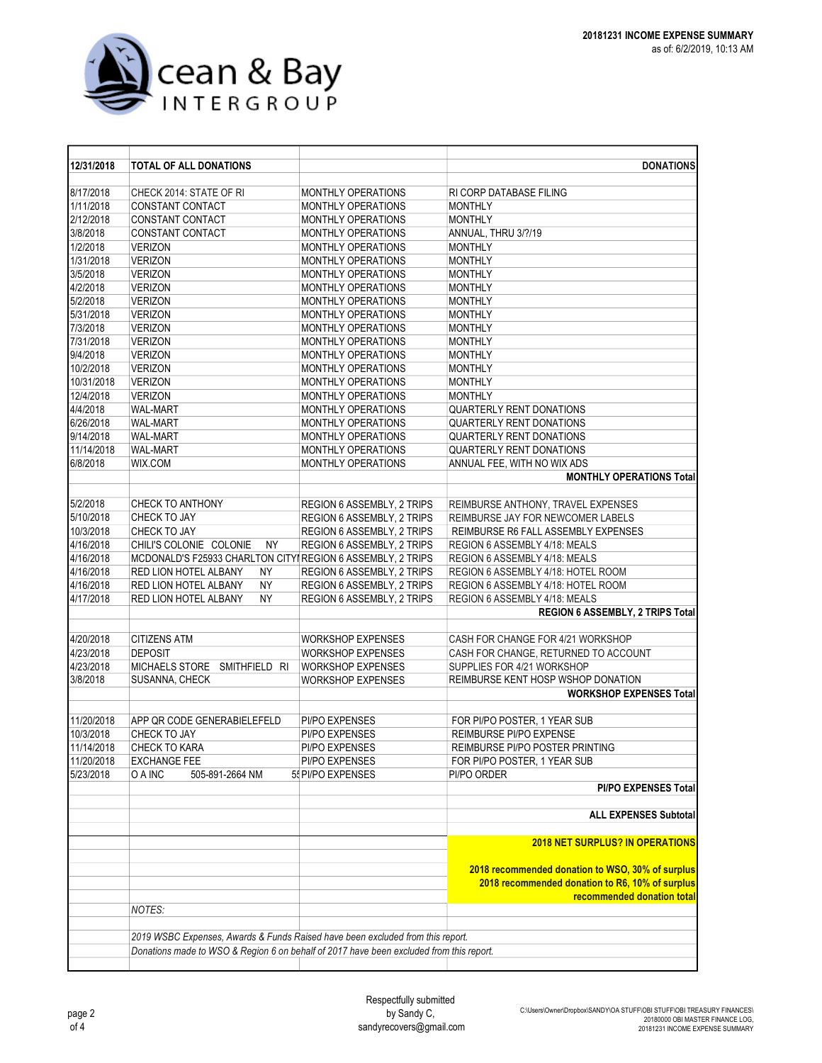

| 12/31/2018 | <b>TOTAL OF ALL DONATIONS</b>                                                           |                                   | <b>DONATIONS</b>                                                                                                                  |
|------------|-----------------------------------------------------------------------------------------|-----------------------------------|-----------------------------------------------------------------------------------------------------------------------------------|
| 8/17/2018  | CHECK 2014: STATE OF RI                                                                 | MONTHLY OPERATIONS                | RI CORP DATABASE FILING                                                                                                           |
| 1/11/2018  | <b>CONSTANT CONTACT</b>                                                                 | MONTHLY OPERATIONS                | <b>MONTHLY</b>                                                                                                                    |
| 2/12/2018  | CONSTANT CONTACT                                                                        | MONTHLY OPERATIONS                | <b>MONTHLY</b>                                                                                                                    |
| 3/8/2018   | CONSTANT CONTACT                                                                        | MONTHLY OPERATIONS                | ANNUAL, THRU 3/?/19                                                                                                               |
| 1/2/2018   | <b>VERIZON</b>                                                                          | MONTHLY OPERATIONS                | <b>MONTHLY</b>                                                                                                                    |
| 1/31/2018  | <b>VERIZON</b>                                                                          | MONTHLY OPERATIONS                | <b>MONTHLY</b>                                                                                                                    |
| 3/5/2018   | <b>VERIZON</b>                                                                          | MONTHLY OPERATIONS                | <b>MONTHLY</b>                                                                                                                    |
| 4/2/2018   | <b>VERIZON</b>                                                                          | <b>MONTHLY OPERATIONS</b>         | <b>MONTHLY</b>                                                                                                                    |
| 5/2/2018   | <b>VERIZON</b>                                                                          | MONTHLY OPERATIONS                | <b>MONTHLY</b>                                                                                                                    |
| 5/31/2018  | <b>VERIZON</b>                                                                          | <b>MONTHLY OPERATIONS</b>         | <b>MONTHLY</b>                                                                                                                    |
| 7/3/2018   | <b>VERIZON</b>                                                                          | MONTHLY OPERATIONS                | <b>MONTHLY</b>                                                                                                                    |
| 7/31/2018  | <b>VERIZON</b>                                                                          | <b>MONTHLY OPERATIONS</b>         | <b>MONTHLY</b>                                                                                                                    |
| 9/4/2018   | <b>VERIZON</b>                                                                          | MONTHLY OPERATIONS                | <b>MONTHLY</b>                                                                                                                    |
| 10/2/2018  | <b>VERIZON</b>                                                                          | MONTHLY OPERATIONS                | <b>MONTHLY</b>                                                                                                                    |
| 10/31/2018 | <b>VERIZON</b>                                                                          | MONTHLY OPERATIONS                | <b>MONTHLY</b>                                                                                                                    |
| 12/4/2018  | <b>VERIZON</b>                                                                          | MONTHLY OPERATIONS                | <b>MONTHLY</b>                                                                                                                    |
| 4/4/2018   | <b>WAL-MART</b>                                                                         | MONTHLY OPERATIONS                | <b>QUARTERLY RENT DONATIONS</b>                                                                                                   |
| 6/26/2018  | <b>WAL-MART</b>                                                                         | <b>MONTHLY OPERATIONS</b>         | <b>QUARTERLY RENT DONATIONS</b>                                                                                                   |
| 9/14/2018  | <b>WAL-MART</b>                                                                         | MONTHLY OPERATIONS                | <b>QUARTERLY RENT DONATIONS</b>                                                                                                   |
| 11/14/2018 | <b>WAL-MART</b>                                                                         | MONTHLY OPERATIONS                | QUARTERLY RENT DONATIONS                                                                                                          |
| 6/8/2018   | WIX.COM                                                                                 | MONTHLY OPERATIONS                | ANNUAL FEE. WITH NO WIX ADS                                                                                                       |
|            |                                                                                         |                                   | <b>MONTHLY OPERATIONS Total</b>                                                                                                   |
|            |                                                                                         |                                   |                                                                                                                                   |
| 5/2/2018   | <b>CHECK TO ANTHONY</b>                                                                 | <b>REGION 6 ASSEMBLY, 2 TRIPS</b> | REIMBURSE ANTHONY, TRAVEL EXPENSES                                                                                                |
| 5/10/2018  | CHECK TO JAY                                                                            | REGION 6 ASSEMBLY, 2 TRIPS        | REIMBURSE JAY FOR NEWCOMER LABELS                                                                                                 |
| 10/3/2018  | CHECK TO JAY                                                                            | REGION 6 ASSEMBLY, 2 TRIPS        | REIMBURSE R6 FALL ASSEMBLY EXPENSES                                                                                               |
| 4/16/2018  | CHILI'S COLONIE COLONIE<br><b>NY</b>                                                    | REGION 6 ASSEMBLY, 2 TRIPS        | REGION 6 ASSEMBLY 4/18: MEALS                                                                                                     |
| 4/16/2018  | MCDONALD'S F25933 CHARLTON CITYIREGION 6 ASSEMBLY, 2 TRIPS                              |                                   | REGION 6 ASSEMBLY 4/18: MEALS                                                                                                     |
| 4/16/2018  | RED LION HOTEL ALBANY<br>ΝY                                                             | REGION 6 ASSEMBLY, 2 TRIPS        | REGION 6 ASSEMBLY 4/18: HOTEL ROOM                                                                                                |
| 4/16/2018  | <b>NY</b><br>RED LION HOTEL ALBANY                                                      | REGION 6 ASSEMBLY, 2 TRIPS        | REGION 6 ASSEMBLY 4/18: HOTEL ROOM                                                                                                |
| 4/17/2018  | <b>NY</b><br>RED LION HOTEL ALBANY                                                      | REGION 6 ASSEMBLY, 2 TRIPS        | REGION 6 ASSEMBLY 4/18: MEALS                                                                                                     |
|            |                                                                                         |                                   | REGION 6 ASSEMBLY, 2 TRIPS Total                                                                                                  |
|            |                                                                                         |                                   |                                                                                                                                   |
| 4/20/2018  | <b>CITIZENS ATM</b>                                                                     | <b>WORKSHOP EXPENSES</b>          | CASH FOR CHANGE FOR 4/21 WORKSHOP                                                                                                 |
| 4/23/2018  | <b>DEPOSIT</b>                                                                          | WORKSHOP EXPENSES                 | CASH FOR CHANGE, RETURNED TO ACCOUNT                                                                                              |
| 4/23/2018  | MICHAELS STORE SMITHFIELD RI                                                            | WORKSHOP EXPENSES                 | SUPPLIES FOR 4/21 WORKSHOP                                                                                                        |
| 3/8/2018   | SUSANNA, CHECK                                                                          | <b>WORKSHOP EXPENSES</b>          | REIMBURSE KENT HOSP WSHOP DONATION                                                                                                |
|            |                                                                                         |                                   | <b>WORKSHOP EXPENSES Total</b>                                                                                                    |
|            |                                                                                         |                                   |                                                                                                                                   |
| 11/20/2018 | APP QR CODE GENERABIELEFELD                                                             | PI/PO EXPENSES                    | FOR PI/PO POSTER, 1 YEAR SUB                                                                                                      |
| 10/3/2018  | CHECK TO JAY                                                                            | PI/PO EXPENSES                    | REIMBURSE PI/PO EXPENSE                                                                                                           |
| 11/14/2018 | CHECK TO KARA                                                                           | PI/PO EXPENSES                    | REIMBURSE PI/PO POSTER PRINTING                                                                                                   |
| 11/20/2018 | <b>EXCHANGE FEE</b>                                                                     | PI/PO EXPENSES                    | FOR PI/PO POSTER, 1 YEAR SUB                                                                                                      |
| 5/23/2018  | O A INC<br>505-891-2664 NM                                                              | 55 PI/PO EXPENSES                 | PI/PO ORDER                                                                                                                       |
|            |                                                                                         |                                   | <b>PI/PO EXPENSES Total</b>                                                                                                       |
|            |                                                                                         |                                   |                                                                                                                                   |
|            |                                                                                         |                                   | <b>ALL EXPENSES Subtotal</b>                                                                                                      |
|            |                                                                                         |                                   | <b>2018 NET SURPLUS? IN OPERATIONS</b>                                                                                            |
|            |                                                                                         |                                   | 2018 recommended donation to WSO, 30% of surplus<br>2018 recommended donation to R6, 10% of surplus<br>recommended donation total |
|            | NOTES:                                                                                  |                                   |                                                                                                                                   |
|            |                                                                                         |                                   |                                                                                                                                   |
|            | 2019 WSBC Expenses, Awards & Funds Raised have been excluded from this report.          |                                   |                                                                                                                                   |
|            | Donations made to WSO & Region 6 on behalf of 2017 have been excluded from this report. |                                   |                                                                                                                                   |
|            |                                                                                         |                                   |                                                                                                                                   |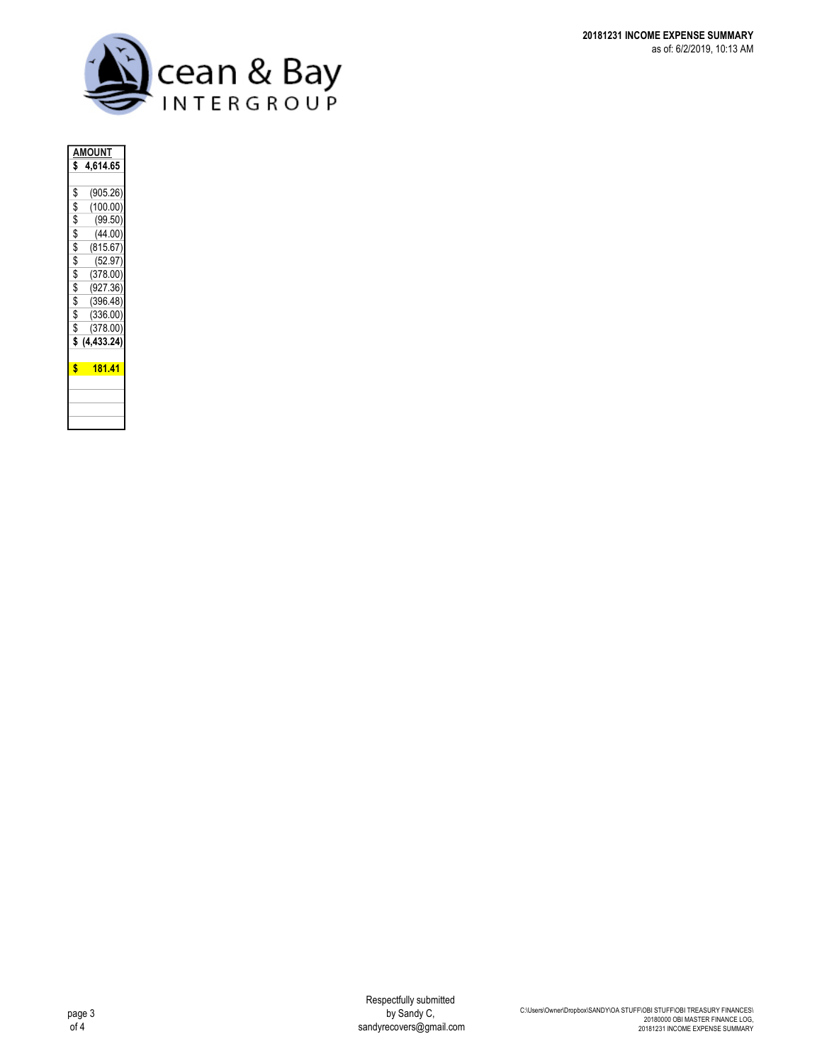

| <b>AMOUNT</b> |             |  |  |
|---------------|-------------|--|--|
| \$            | 4,614.65    |  |  |
|               |             |  |  |
| \$            | (905.26)    |  |  |
| \$            | (100.00)    |  |  |
| \$            | (99.50)     |  |  |
| \$            | (44.00)     |  |  |
| \$            | (815.67)    |  |  |
| \$            | (52.97)     |  |  |
| \$            | (378.00)    |  |  |
| \$            | (927.36)    |  |  |
| \$            | (396.48)    |  |  |
| \$            | (336.00)    |  |  |
| \$            | (378.00)    |  |  |
| \$            | (4, 433.24) |  |  |
|               |             |  |  |
| \$            | 181.41      |  |  |
|               |             |  |  |
|               |             |  |  |
|               |             |  |  |
|               |             |  |  |